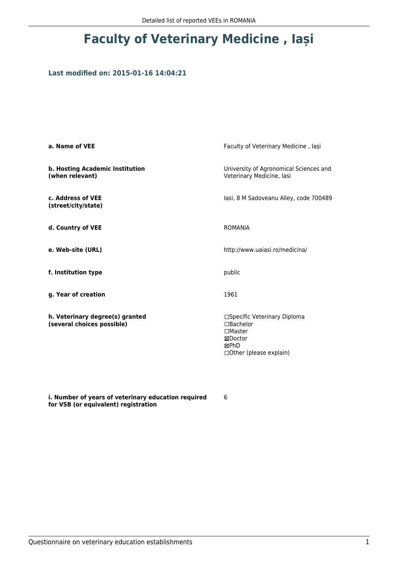# **Faculty of Veterinary Medicine , Iași**

### **Last modified on: 2015-01-16 14:04:21**

| a. Name of VEE                                                | Faculty of Veterinary Medicine, Iași                                                                         |
|---------------------------------------------------------------|--------------------------------------------------------------------------------------------------------------|
| b. Hosting Academic Institution<br>(when relevant)            | University of Agronomical Sciences and<br>Veterinary Medicine, lasi                                          |
| c. Address of VEE<br>(street/city/state)                      | lasi, 8 M Sadoveanu Alley, code 700489                                                                       |
| d. Country of VEE                                             | <b>ROMANIA</b>                                                                                               |
| e. Web-site (URL)                                             | http://www.uaiasi.ro/medicina/                                                                               |
| f. Institution type                                           | public                                                                                                       |
| g. Year of creation                                           | 1961                                                                                                         |
| h. Veterinary degree(s) granted<br>(several choices possible) | □Specific Veterinary Diploma<br>□Bachelor<br>$\square$ Master<br>⊠Doctor<br>⊠PhD<br>□ Other (please explain) |

**i. Number of years of veterinary education required for VSB (or equivalent) registration**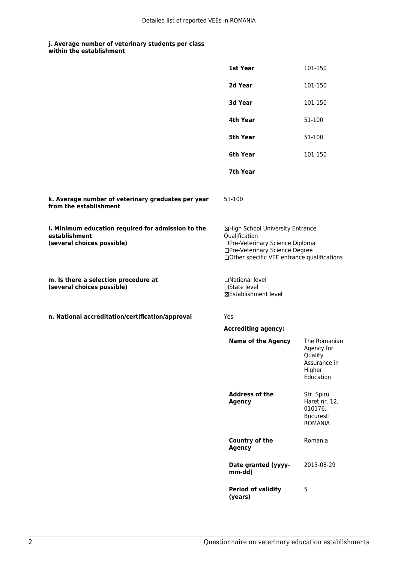| within the establishment |
|--------------------------|
|                          |

|                                                                                                   | 1st Year                                                                                                                                                              | 101-150                                                                      |
|---------------------------------------------------------------------------------------------------|-----------------------------------------------------------------------------------------------------------------------------------------------------------------------|------------------------------------------------------------------------------|
|                                                                                                   | 2d Year                                                                                                                                                               | 101-150                                                                      |
|                                                                                                   | 3d Year                                                                                                                                                               | 101-150                                                                      |
|                                                                                                   | 4th Year                                                                                                                                                              | 51-100                                                                       |
|                                                                                                   | 5th Year                                                                                                                                                              | 51-100                                                                       |
|                                                                                                   | 6th Year                                                                                                                                                              | 101-150                                                                      |
|                                                                                                   | 7th Year                                                                                                                                                              |                                                                              |
| k. Average number of veterinary graduates per year<br>from the establishment                      | 51-100                                                                                                                                                                |                                                                              |
| I. Minimum education required for admission to the<br>establishment<br>(several choices possible) | ⊠High School University Entrance<br>Qualification<br>□Pre-Veterinary Science Diploma<br>□Pre-Veterinary Science Degree<br>□Other specific VEE entrance qualifications |                                                                              |
| m. Is there a selection procedure at<br>(several choices possible)                                | □National level<br>$\Box$ State level<br>⊠Establishment level                                                                                                         |                                                                              |
| n. National accreditation/certification/approval                                                  | Yes                                                                                                                                                                   |                                                                              |
|                                                                                                   | <b>Accrediting agency:</b>                                                                                                                                            |                                                                              |
|                                                                                                   | <b>Name of the Agency</b>                                                                                                                                             | The Romanian<br>Agency for<br>Quality<br>Assurance in<br>Higher<br>Education |
|                                                                                                   | <b>Address of the</b><br><b>Agency</b>                                                                                                                                | Str. Spiru<br>Haret nr. 12,<br>010176,<br>Bucuresti<br><b>ROMANIA</b>        |
|                                                                                                   | <b>Country of the</b><br><b>Agency</b>                                                                                                                                | Romania                                                                      |
|                                                                                                   | Date granted (yyyy-<br>mm-dd)                                                                                                                                         | 2013-08-29                                                                   |
|                                                                                                   | <b>Period of validity</b><br>(years)                                                                                                                                  | 5                                                                            |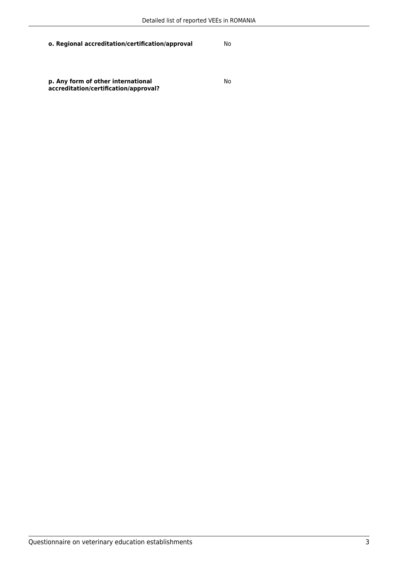**o. Regional accreditation/certification/approval** No

**p. Any form of other international accreditation/certification/approval?**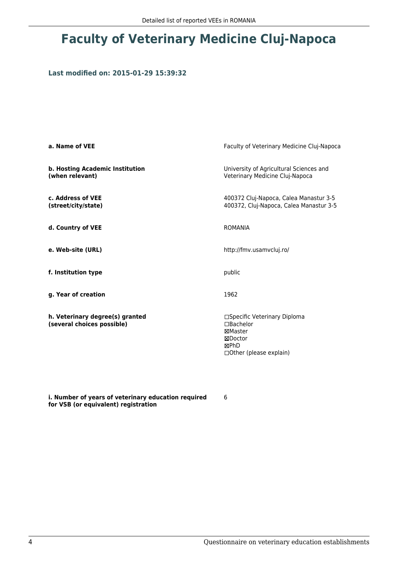# **Faculty of Veterinary Medicine Cluj-Napoca**

### **Last modified on: 2015-01-29 15:39:32**

| a. Name of VEE                                                | Faculty of Veterinary Medicine Cluj-Napoca                                                          |
|---------------------------------------------------------------|-----------------------------------------------------------------------------------------------------|
| b. Hosting Academic Institution<br>(when relevant)            | University of Agricultural Sciences and<br>Veterinary Medicine Cluj-Napoca                          |
| c. Address of VEE<br>(street/city/state)                      | 400372 Cluj-Napoca, Calea Manastur 3-5<br>400372, Cluj-Napoca, Calea Manastur 3-5                   |
| d. Country of VEE                                             | <b>ROMANIA</b>                                                                                      |
| e. Web-site (URL)                                             | http://fmv.usamvcluj.ro/                                                                            |
| f. Institution type                                           | public                                                                                              |
| g. Year of creation                                           | 1962                                                                                                |
| h. Veterinary degree(s) granted<br>(several choices possible) | □Specific Veterinary Diploma<br>□Bachelor<br>⊠Master<br>⊠Doctor<br>⊠PhD<br>□ Other (please explain) |

**i. Number of years of veterinary education required for VSB (or equivalent) registration**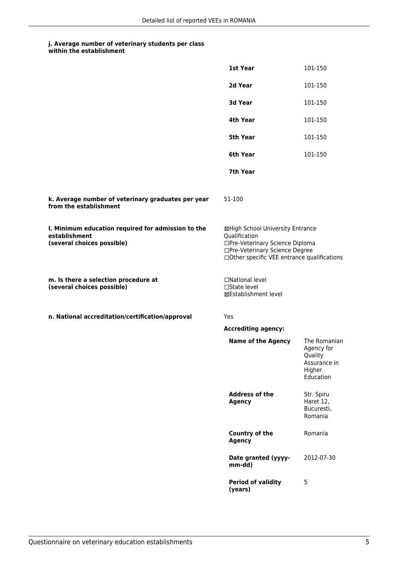|                                                                                                   | 1st Year                                                                                                                                                              | 101-150                                                                      |
|---------------------------------------------------------------------------------------------------|-----------------------------------------------------------------------------------------------------------------------------------------------------------------------|------------------------------------------------------------------------------|
|                                                                                                   | 2d Year                                                                                                                                                               | 101-150                                                                      |
|                                                                                                   | 3d Year                                                                                                                                                               | 101-150                                                                      |
|                                                                                                   | 4th Year                                                                                                                                                              | 101-150                                                                      |
|                                                                                                   | 5th Year                                                                                                                                                              | 101-150                                                                      |
|                                                                                                   | 6th Year                                                                                                                                                              | 101-150                                                                      |
|                                                                                                   | 7th Year                                                                                                                                                              |                                                                              |
| k. Average number of veterinary graduates per year<br>from the establishment                      | 51-100                                                                                                                                                                |                                                                              |
| I. Minimum education required for admission to the<br>establishment<br>(several choices possible) | ⊠High School University Entrance<br>Qualification<br>□Pre-Veterinary Science Diploma<br>□Pre-Veterinary Science Degree<br>□Other specific VEE entrance qualifications |                                                                              |
| m. Is there a selection procedure at<br>(several choices possible)                                | □National level<br>□State level<br><b>⊠Establishment level</b>                                                                                                        |                                                                              |
| n. National accreditation/certification/approval                                                  | Yes                                                                                                                                                                   |                                                                              |
|                                                                                                   | <b>Accrediting agency:</b>                                                                                                                                            |                                                                              |
|                                                                                                   | <b>Name of the Agency</b>                                                                                                                                             | The Romanian<br>Agency for<br>Quality<br>Assurance in<br>Higher<br>Education |
|                                                                                                   | <b>Address of the</b><br><b>Agency</b>                                                                                                                                | Str. Spiru<br>Haret 12,<br>Bucuresti,<br>Romania                             |
|                                                                                                   | <b>Country of the</b><br><b>Agency</b>                                                                                                                                | Romania                                                                      |
|                                                                                                   | Date granted (yyyy-<br>mm-dd)                                                                                                                                         | 2012-07-30                                                                   |
|                                                                                                   | <b>Period of validity</b><br>(years)                                                                                                                                  | 5                                                                            |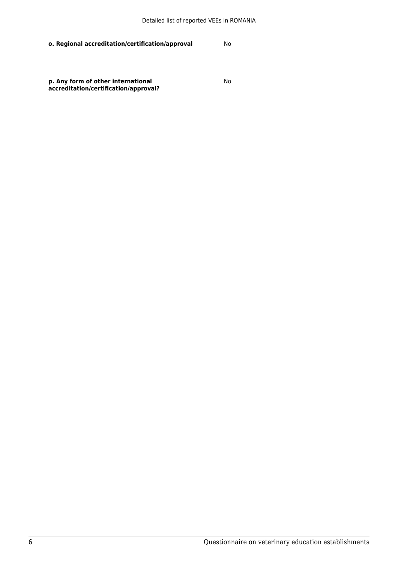**o. Regional accreditation/certification/approval** No

**p. Any form of other international accreditation/certification/approval?**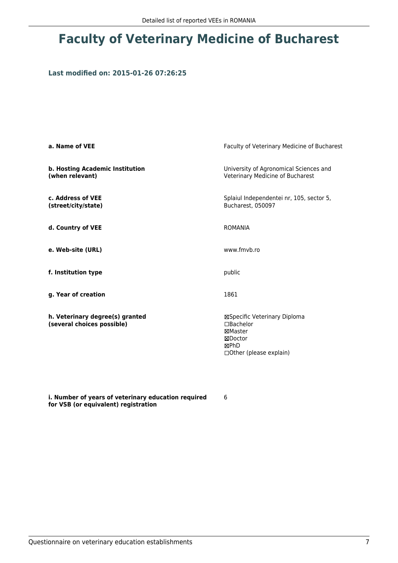## **Faculty of Veterinary Medicine of Bucharest**

### **Last modified on: 2015-01-26 07:26:25**

| a. Name of VEE                                                | Faculty of Veterinary Medicine of Bucharest                                                         |
|---------------------------------------------------------------|-----------------------------------------------------------------------------------------------------|
| b. Hosting Academic Institution<br>(when relevant)            | University of Agronomical Sciences and<br>Veterinary Medicine of Bucharest                          |
| c. Address of VEE<br>(street/city/state)                      | Splaiul Independentei nr, 105, sector 5,<br>Bucharest, 050097                                       |
| d. Country of VEE                                             | <b>ROMANIA</b>                                                                                      |
| e. Web-site (URL)                                             | www.fmyb.ro                                                                                         |
| f. Institution type                                           | public                                                                                              |
| g. Year of creation                                           | 1861                                                                                                |
| h. Veterinary degree(s) granted<br>(several choices possible) | ⊠Specific Veterinary Diploma<br>□Bachelor<br>⊠Master<br>⊠Doctor<br>⊠PhD<br>□ Other (please explain) |

**i. Number of years of veterinary education required for VSB (or equivalent) registration**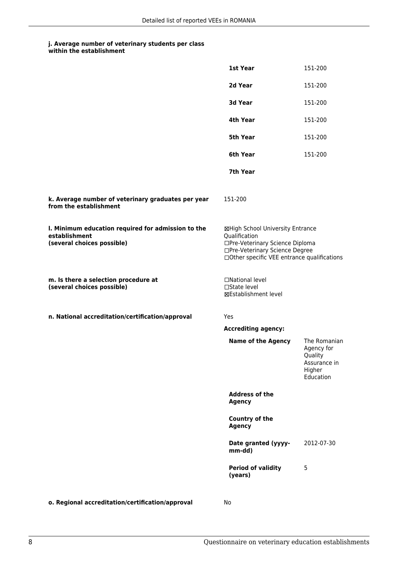|                                                                                                   | 1st Year                                                                                                                                                              | 151-200                                                                      |
|---------------------------------------------------------------------------------------------------|-----------------------------------------------------------------------------------------------------------------------------------------------------------------------|------------------------------------------------------------------------------|
|                                                                                                   | 2d Year                                                                                                                                                               | 151-200                                                                      |
|                                                                                                   | 3d Year                                                                                                                                                               | 151-200                                                                      |
|                                                                                                   | 4th Year                                                                                                                                                              | 151-200                                                                      |
|                                                                                                   | 5th Year                                                                                                                                                              | 151-200                                                                      |
|                                                                                                   | 6th Year                                                                                                                                                              | 151-200                                                                      |
|                                                                                                   | 7th Year                                                                                                                                                              |                                                                              |
| k. Average number of veterinary graduates per year<br>from the establishment                      | 151-200                                                                                                                                                               |                                                                              |
| I. Minimum education required for admission to the<br>establishment<br>(several choices possible) | ⊠High School University Entrance<br>Qualification<br>□Pre-Veterinary Science Diploma<br>□Pre-Veterinary Science Degree<br>□Other specific VEE entrance qualifications |                                                                              |
| m. Is there a selection procedure at<br>(several choices possible)                                | □National level<br>□State level<br>⊠Establishment level                                                                                                               |                                                                              |
| n. National accreditation/certification/approval                                                  | Yes                                                                                                                                                                   |                                                                              |
|                                                                                                   | <b>Accrediting agency:</b>                                                                                                                                            |                                                                              |
|                                                                                                   | <b>Name of the Agency</b>                                                                                                                                             | The Romanian<br>Agency for<br>Quality<br>Assurance in<br>Higher<br>Education |
|                                                                                                   | <b>Address of the</b><br><b>Agency</b>                                                                                                                                |                                                                              |
|                                                                                                   | Country of the<br><b>Agency</b>                                                                                                                                       |                                                                              |
|                                                                                                   | Date granted (yyyy-<br>mm-dd)                                                                                                                                         | 2012-07-30                                                                   |
|                                                                                                   | <b>Period of validity</b><br>(years)                                                                                                                                  | 5                                                                            |
| o. Regional accreditation/certification/approval                                                  | No                                                                                                                                                                    |                                                                              |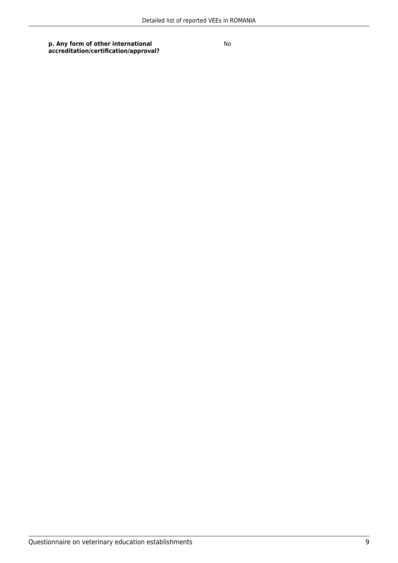**p. Any form of other international accreditation/certification/approval?**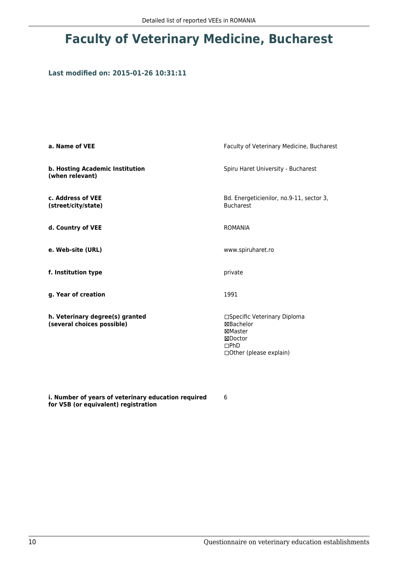# **Faculty of Veterinary Medicine, Bucharest**

### **Last modified on: 2015-01-26 10:31:11**

| a. Name of VEE                                                | Faculty of Veterinary Medicine, Bucharest                                                                 |
|---------------------------------------------------------------|-----------------------------------------------------------------------------------------------------------|
| b. Hosting Academic Institution<br>(when relevant)            | Spiru Haret University - Bucharest                                                                        |
| c. Address of VEE<br>(street/city/state)                      | Bd. Energeticienilor, no.9-11, sector 3,<br><b>Bucharest</b>                                              |
| d. Country of VEE                                             | <b>ROMANIA</b>                                                                                            |
| e. Web-site (URL)                                             | www.spiruharet.ro                                                                                         |
| f. Institution type                                           | private                                                                                                   |
| g. Year of creation                                           | 1991                                                                                                      |
| h. Veterinary degree(s) granted<br>(several choices possible) | □Specific Veterinary Diploma<br><b>⊠Bachelor</b><br>⊠Master<br>⊠Doctor<br>DPhD<br>□Other (please explain) |

**i. Number of years of veterinary education required for VSB (or equivalent) registration**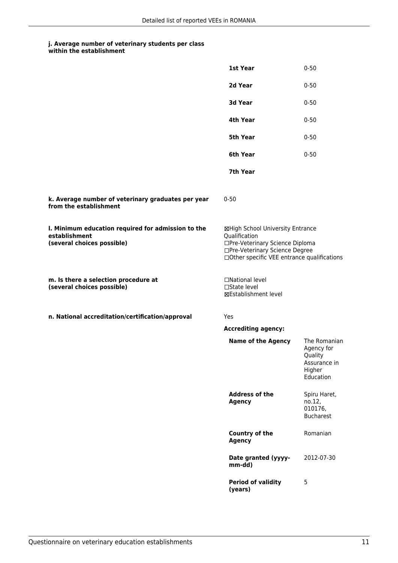|                                                                                                   | 1st Year                                                                                                                                                              | $0 - 50$                                                                     |
|---------------------------------------------------------------------------------------------------|-----------------------------------------------------------------------------------------------------------------------------------------------------------------------|------------------------------------------------------------------------------|
|                                                                                                   | 2d Year                                                                                                                                                               | $0 - 50$                                                                     |
|                                                                                                   | 3d Year                                                                                                                                                               | $0 - 50$                                                                     |
|                                                                                                   | 4th Year                                                                                                                                                              | $0 - 50$                                                                     |
|                                                                                                   | 5th Year                                                                                                                                                              | $0 - 50$                                                                     |
|                                                                                                   | 6th Year                                                                                                                                                              | $0 - 50$                                                                     |
|                                                                                                   | 7th Year                                                                                                                                                              |                                                                              |
| k. Average number of veterinary graduates per year<br>from the establishment                      | $0 - 50$                                                                                                                                                              |                                                                              |
| I. Minimum education required for admission to the<br>establishment<br>(several choices possible) | ⊠High School University Entrance<br>Qualification<br>□Pre-Veterinary Science Diploma<br>□Pre-Veterinary Science Degree<br>□Other specific VEE entrance qualifications |                                                                              |
| m. Is there a selection procedure at<br>(several choices possible)                                | □National level<br>□State level<br>⊠Establishment level                                                                                                               |                                                                              |
| n. National accreditation/certification/approval                                                  | Yes                                                                                                                                                                   |                                                                              |
|                                                                                                   | <b>Accrediting agency:</b>                                                                                                                                            |                                                                              |
|                                                                                                   | <b>Name of the Agency</b>                                                                                                                                             | The Romanian<br>Agency for<br>Quality<br>Assurance in<br>Higher<br>Education |
|                                                                                                   | <b>Address of the</b><br><b>Agency</b>                                                                                                                                | Spiru Haret,<br>no.12,<br>010176,<br><b>Bucharest</b>                        |
|                                                                                                   | <b>Country of the</b><br><b>Agency</b>                                                                                                                                | Romanian                                                                     |
|                                                                                                   | Date granted (yyyy-<br>mm-dd)                                                                                                                                         | 2012-07-30                                                                   |
|                                                                                                   | <b>Period of validity</b><br>(years)                                                                                                                                  | 5                                                                            |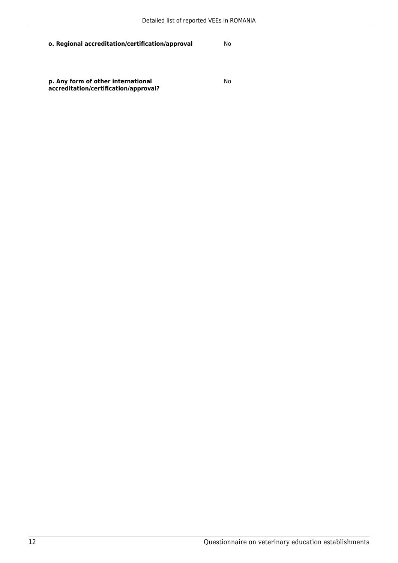**o. Regional accreditation/certification/approval** No

**p. Any form of other international accreditation/certification/approval?**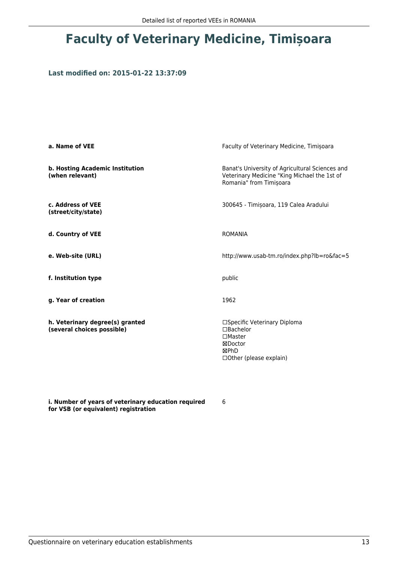# **Faculty of Veterinary Medicine, Timișoara**

### **Last modified on: 2015-01-22 13:37:09**

| a. Name of VEE                                                | Faculty of Veterinary Medicine, Timișoara                                                                                  |
|---------------------------------------------------------------|----------------------------------------------------------------------------------------------------------------------------|
| b. Hosting Academic Institution<br>(when relevant)            | Banat's University of Agricultural Sciences and<br>Veterinary Medicine "King Michael the 1st of<br>Romania" from Timișoara |
| c. Address of VEE<br>(street/city/state)                      | 300645 - Timișoara, 119 Calea Aradului                                                                                     |
| d. Country of VEE                                             | <b>ROMANIA</b>                                                                                                             |
| e. Web-site (URL)                                             | http://www.usab-tm.ro/index.php?lb=ro&fac=5                                                                                |
| f. Institution type                                           | public                                                                                                                     |
| g. Year of creation                                           | 1962                                                                                                                       |
| h. Veterinary degree(s) granted<br>(several choices possible) | □Specific Veterinary Diploma<br>□Bachelor<br>$\Box$ Master<br>⊠Doctor<br>⊠PhD<br>□ Other (please explain)                  |

**i. Number of years of veterinary education required for VSB (or equivalent) registration**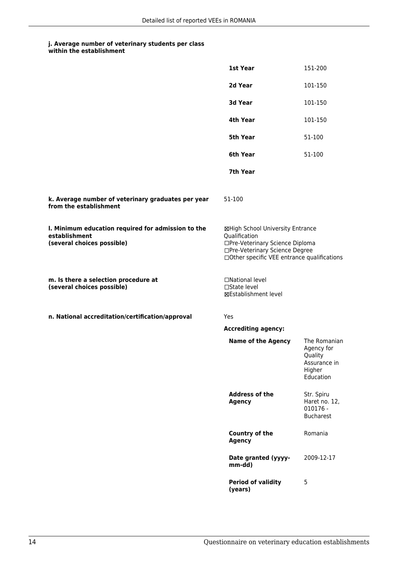| within the establishment |
|--------------------------|
|                          |

|                                                                                                   | 1st Year                                                                                                                                                              | 151-200                                                                      |
|---------------------------------------------------------------------------------------------------|-----------------------------------------------------------------------------------------------------------------------------------------------------------------------|------------------------------------------------------------------------------|
|                                                                                                   | 2d Year                                                                                                                                                               | 101-150                                                                      |
|                                                                                                   | 3d Year                                                                                                                                                               | 101-150                                                                      |
|                                                                                                   | 4th Year                                                                                                                                                              | 101-150                                                                      |
|                                                                                                   | 5th Year                                                                                                                                                              | 51-100                                                                       |
|                                                                                                   | 6th Year                                                                                                                                                              | 51-100                                                                       |
|                                                                                                   | 7th Year                                                                                                                                                              |                                                                              |
| k. Average number of veterinary graduates per year<br>from the establishment                      | 51-100                                                                                                                                                                |                                                                              |
| I. Minimum education required for admission to the<br>establishment<br>(several choices possible) | ⊠High School University Entrance<br>Qualification<br>□Pre-Veterinary Science Diploma<br>□Pre-Veterinary Science Degree<br>□Other specific VEE entrance qualifications |                                                                              |
| m. Is there a selection procedure at<br>(several choices possible)                                | □National level<br>$\Box$ State level<br>⊠Establishment level                                                                                                         |                                                                              |
| n. National accreditation/certification/approval                                                  | Yes                                                                                                                                                                   |                                                                              |
|                                                                                                   | <b>Accrediting agency:</b>                                                                                                                                            |                                                                              |
|                                                                                                   | <b>Name of the Agency</b>                                                                                                                                             | The Romanian<br>Agency for<br>Quality<br>Assurance in<br>Higher<br>Education |
|                                                                                                   | <b>Address of the</b><br><b>Agency</b>                                                                                                                                | Str. Spiru<br>Haret no. 12,<br>$010176 -$<br><b>Bucharest</b>                |
|                                                                                                   | <b>Country of the</b><br><b>Agency</b>                                                                                                                                | Romania                                                                      |
|                                                                                                   | Date granted (yyyy-<br>mm-dd)                                                                                                                                         | 2009-12-17                                                                   |
|                                                                                                   | <b>Period of validity</b><br>(years)                                                                                                                                  | 5                                                                            |